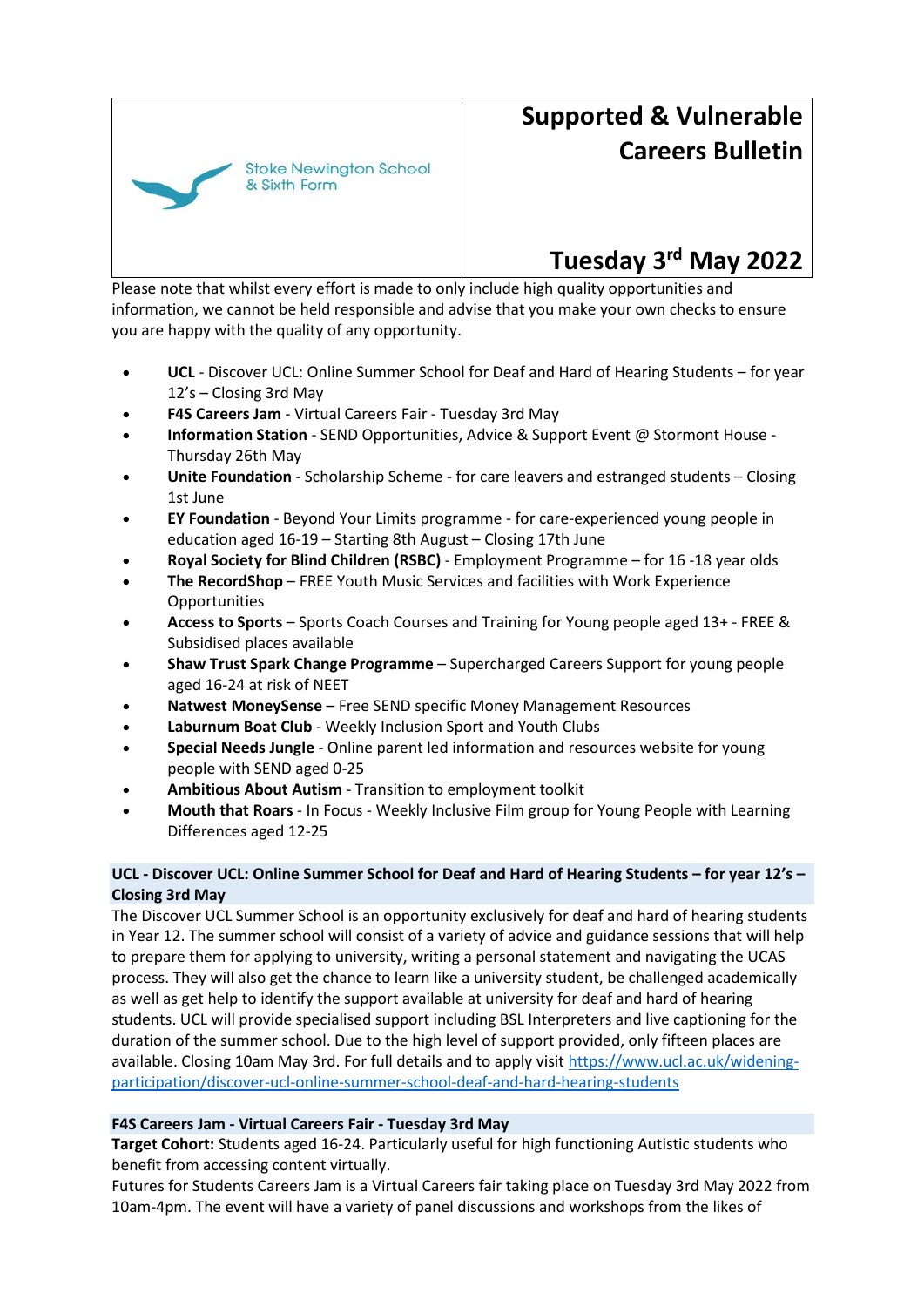

# **Supported & Vulnerable Careers Bulletin**

# **Tuesday 3rd May 2022**

Please note that whilst every effort is made to only include high quality opportunities and information, we cannot be held responsible and advise that you make your own checks to ensure you are happy with the quality of any opportunity.

- **UCL**  Discover UCL: Online Summer School for Deaf and Hard of Hearing Students for year 12's – Closing 3rd May
- **F4S Careers Jam**  Virtual Careers Fair Tuesday 3rd May
- **Information Station**  SEND Opportunities, Advice & Support Event @ Stormont House Thursday 26th May
- **Unite Foundation**  Scholarship Scheme for care leavers and estranged students Closing 1st June
- **EY Foundation**  Beyond Your Limits programme for care-experienced young people in education aged 16-19 – Starting 8th August – Closing 17th June
- **Royal Society for Blind Children (RSBC)**  Employment Programme for 16 -18 year olds
- **The RecordShop**  FREE Youth Music Services and facilities with Work Experience Opportunities
- **Access to Sports**  Sports Coach Courses and Training for Young people aged 13+ FREE & Subsidised places available
- **Shaw Trust Spark Change Programme** Supercharged Careers Support for young people aged 16-24 at risk of NEET
- **Natwest MoneySense**  Free SEND specific Money Management Resources
- **Laburnum Boat Club**  Weekly Inclusion Sport and Youth Clubs
- **Special Needs Jungle**  Online parent led information and resources website for young people with SEND aged 0-25
- **Ambitious About Autism**  Transition to employment toolkit
- **Mouth that Roars**  In Focus Weekly Inclusive Film group for Young People with Learning Differences aged 12-25

# **UCL - Discover UCL: Online Summer School for Deaf and Hard of Hearing Students – for year 12's – Closing 3rd May**

The Discover UCL Summer School is an opportunity exclusively for deaf and hard of hearing students in Year 12. The summer school will consist of a variety of advice and guidance sessions that will help to prepare them for applying to university, writing a personal statement and navigating the UCAS process. They will also get the chance to learn like a university student, be challenged academically as well as get help to identify the support available at university for deaf and hard of hearing students. UCL will provide specialised support including BSL Interpreters and live captioning for the duration of the summer school. Due to the high level of support provided, only fifteen places are available. Closing 10am May 3rd. For full details and to apply visit [https://www.ucl.ac.uk/widening](https://eur02.safelinks.protection.outlook.com/?url=https%3A%2F%2Fwww.ucl.ac.uk%2Fwidening-participation%2Fdiscover-ucl-online-summer-school-deaf-and-hard-hearing-students&data=05%7C01%7CJul.Ale%40sns.hackney.sch.uk%7C873caf4039234752353208da2833ca13%7C54155676e51044efab17580732d134fe%7C0%7C0%7C637866500169976237%7CUnknown%7CTWFpbGZsb3d8eyJWIjoiMC4wLjAwMDAiLCJQIjoiV2luMzIiLCJBTiI6Ik1haWwiLCJXVCI6Mn0%3D%7C3000%7C%7C%7C&sdata=aTbuvfo3166n6G10i7UGNcaJZ499PxC3Nq%2Bx9hYuMbw%3D&reserved=0)[participation/discover-ucl-online-summer-school-deaf-and-hard-hearing-students](https://eur02.safelinks.protection.outlook.com/?url=https%3A%2F%2Fwww.ucl.ac.uk%2Fwidening-participation%2Fdiscover-ucl-online-summer-school-deaf-and-hard-hearing-students&data=05%7C01%7CJul.Ale%40sns.hackney.sch.uk%7C873caf4039234752353208da2833ca13%7C54155676e51044efab17580732d134fe%7C0%7C0%7C637866500169976237%7CUnknown%7CTWFpbGZsb3d8eyJWIjoiMC4wLjAwMDAiLCJQIjoiV2luMzIiLCJBTiI6Ik1haWwiLCJXVCI6Mn0%3D%7C3000%7C%7C%7C&sdata=aTbuvfo3166n6G10i7UGNcaJZ499PxC3Nq%2Bx9hYuMbw%3D&reserved=0)

#### **F4S Careers Jam - Virtual Careers Fair - Tuesday 3rd May**

**Target Cohort:** Students aged 16-24. Particularly useful for high functioning Autistic students who benefit from accessing content virtually.

Futures for Students Careers Jam is a Virtual Careers fair taking place on Tuesday 3rd May 2022 from 10am-4pm. The event will have a variety of panel discussions and workshops from the likes of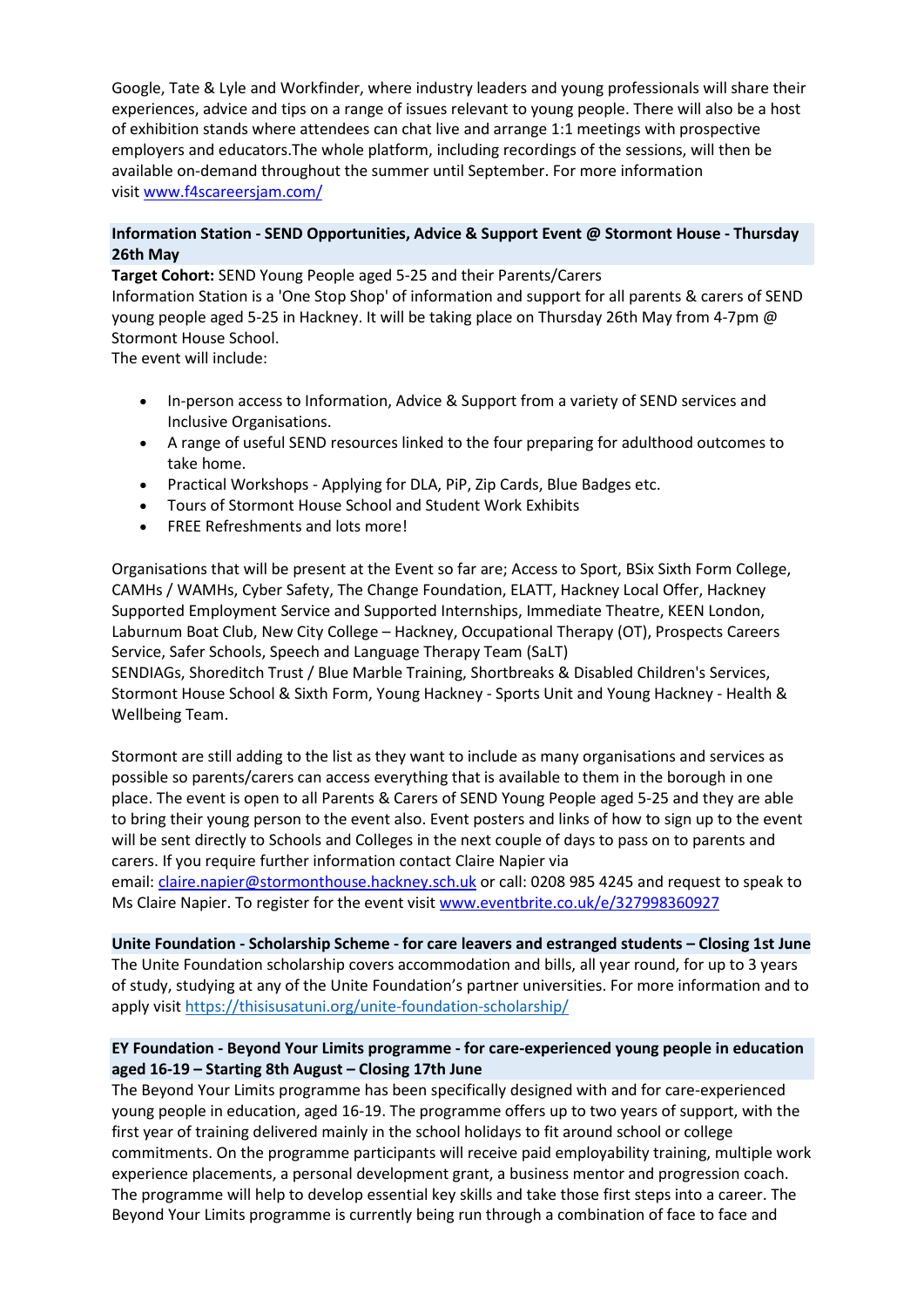Google, Tate & Lyle and Workfinder, where industry leaders and young professionals will share their experiences, advice and tips on a range of issues relevant to young people. There will also be a host of exhibition stands where attendees can chat live and arrange 1:1 meetings with prospective employers and educators.The whole platform, including recordings of the sessions, will then be available on-demand throughout the summer until September. For more information visit [www.f4scareersjam.com/](https://eur02.safelinks.protection.outlook.com/?url=http%3A%2F%2Fwww.f4scareersjam.com%2F&data=05%7C01%7CJul.Ale%40sns.hackney.sch.uk%7C873caf4039234752353208da2833ca13%7C54155676e51044efab17580732d134fe%7C0%7C0%7C637866500169976237%7CUnknown%7CTWFpbGZsb3d8eyJWIjoiMC4wLjAwMDAiLCJQIjoiV2luMzIiLCJBTiI6Ik1haWwiLCJXVCI6Mn0%3D%7C3000%7C%7C%7C&sdata=oH%2FBulLTV0nE7ez9jeO8xCEcHbphVw22XgPTGYDESTQ%3D&reserved=0)

#### **Information Station - SEND Opportunities, Advice & Support Event @ Stormont House - Thursday 26th May**

**Target Cohort:** SEND Young People aged 5-25 and their Parents/Carers Information Station is a 'One Stop Shop' of information and support for all parents & carers of SEND young people aged 5-25 in Hackney. It will be taking place on Thursday 26th May from 4-7pm @ Stormont House School.

The event will include:

- In-person access to Information, Advice & Support from a variety of SEND services and Inclusive Organisations.
- A range of useful SEND resources linked to the four preparing for adulthood outcomes to take home.
- Practical Workshops Applying for DLA, PiP, Zip Cards, Blue Badges etc.
- Tours of Stormont House School and Student Work Exhibits
- FREE Refreshments and lots more!

Organisations that will be present at the Event so far are; Access to Sport, BSix Sixth Form College, CAMHs / WAMHs, Cyber Safety, The Change Foundation, ELATT, Hackney Local Offer, Hackney Supported Employment Service and Supported Internships, Immediate Theatre, KEEN London, Laburnum Boat Club, New City College – Hackney, Occupational Therapy (OT), Prospects Careers Service, Safer Schools, Speech and Language Therapy Team (SaLT)

SENDIAGs, Shoreditch Trust / Blue Marble Training, Shortbreaks & Disabled Children's Services, Stormont House School & Sixth Form, Young Hackney - Sports Unit and Young Hackney - Health & Wellbeing Team.

Stormont are still adding to the list as they want to include as many organisations and services as possible so parents/carers can access everything that is available to them in the borough in one place. The event is open to all Parents & Carers of SEND Young People aged 5-25 and they are able to bring their young person to the event also. Event posters and links of how to sign up to the event will be sent directly to Schools and Colleges in the next couple of days to pass on to parents and carers. If you require further information contact Claire Napier via

email: [claire.napier@stormonthouse.hackney.sch.uk](mailto:claire.napier@stormonthouse.hackney.sch.uk) or call: 0208 985 4245 and request to speak to Ms Claire Napier. To register for the event visit [www.eventbrite.co.uk/e/327998360927](https://eur02.safelinks.protection.outlook.com/?url=http%3A%2F%2Fwww.eventbrite.co.uk%2Fe%2F327998360927&data=05%7C01%7CJul.Ale%40sns.hackney.sch.uk%7C873caf4039234752353208da2833ca13%7C54155676e51044efab17580732d134fe%7C0%7C0%7C637866500169976237%7CUnknown%7CTWFpbGZsb3d8eyJWIjoiMC4wLjAwMDAiLCJQIjoiV2luMzIiLCJBTiI6Ik1haWwiLCJXVCI6Mn0%3D%7C3000%7C%7C%7C&sdata=u2UTo8qnxhfShgnjarLC6vvtYMyduOdD9ZMfbWiL5DI%3D&reserved=0)

**Unite Foundation - Scholarship Scheme - for care leavers and estranged students – Closing 1st June** The Unite Foundation scholarship covers accommodation and bills, all year round, for up to 3 years of study, studying at any of the Unite Foundation's partner universities. For more information and to apply visit [https://thisisusatuni.org/unite-foundation-scholarship/](https://eur02.safelinks.protection.outlook.com/?url=https%3A%2F%2Fthisisusatuni.org%2Funite-foundation-scholarship%2F&data=05%7C01%7CJul.Ale%40sns.hackney.sch.uk%7C873caf4039234752353208da2833ca13%7C54155676e51044efab17580732d134fe%7C0%7C0%7C637866500169976237%7CUnknown%7CTWFpbGZsb3d8eyJWIjoiMC4wLjAwMDAiLCJQIjoiV2luMzIiLCJBTiI6Ik1haWwiLCJXVCI6Mn0%3D%7C3000%7C%7C%7C&sdata=Y%2B3awv1Wn7N1VmVSmwt1gx8Z%2F9%2FTEQC75eMDKx5B%2Bn0%3D&reserved=0)

# **EY Foundation - Beyond Your Limits programme - for care-experienced young people in education aged 16-19 – Starting 8th August – Closing 17th June**

The Beyond Your Limits programme has been specifically designed with and for care-experienced young people in education, aged 16-19. The programme offers up to two years of support, with the first year of training delivered mainly in the school holidays to fit around school or college commitments. On the programme participants will receive paid employability training, multiple work experience placements, a personal development grant, a business mentor and progression coach. The programme will help to develop essential key skills and take those first steps into a career. The Beyond Your Limits programme is currently being run through a combination of face to face and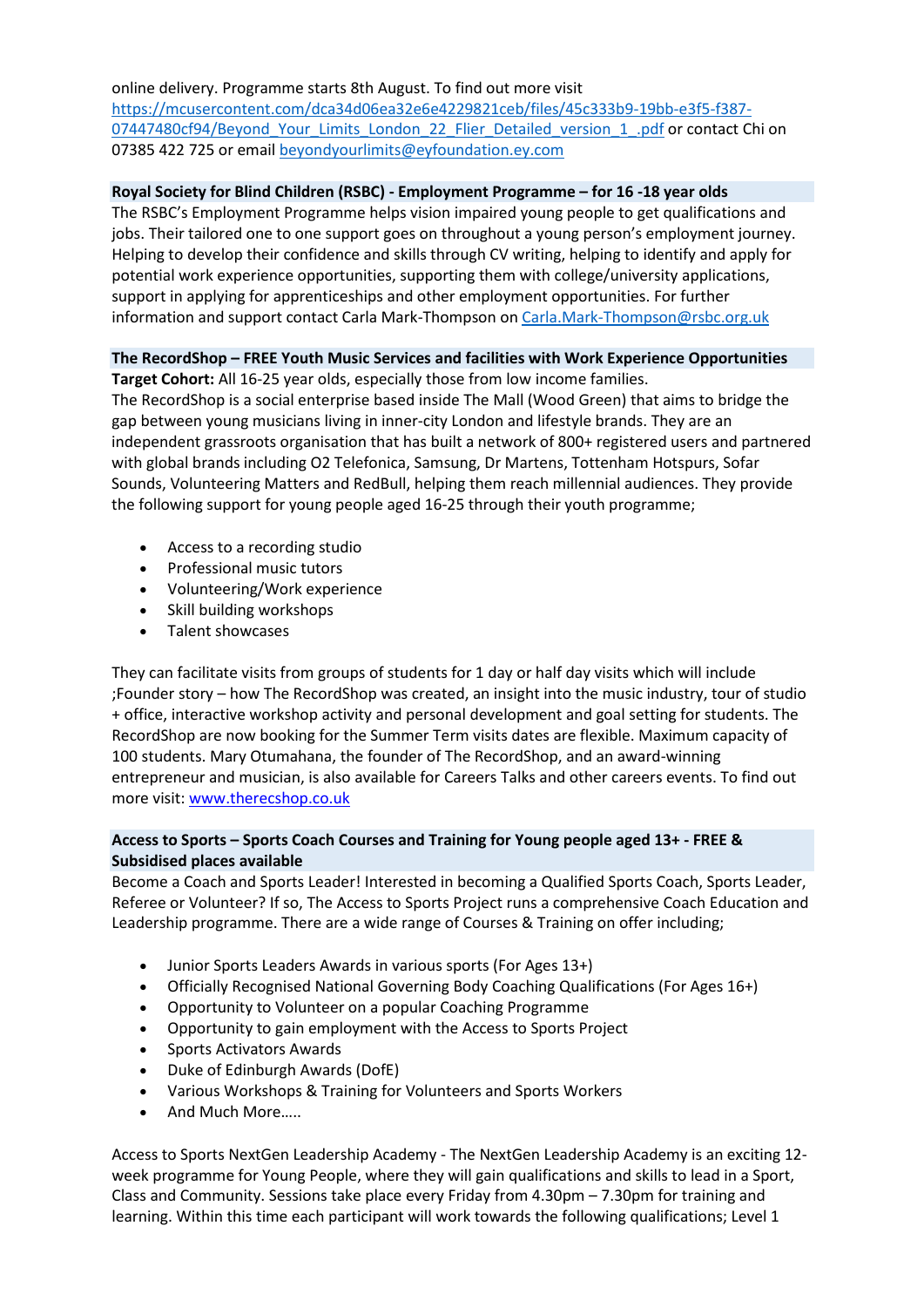online delivery. Programme starts 8th August. To find out more visit [https://mcusercontent.com/dca34d06ea32e6e4229821ceb/files/45c333b9-19bb-e3f5-f387-](https://eur02.safelinks.protection.outlook.com/?url=https%3A%2F%2Fmcusercontent.com%2Fdca34d06ea32e6e4229821ceb%2Ffiles%2F45c333b9-19bb-e3f5-f387-07447480cf94%2FBeyond_Your_Limits_London_22_Flier_Detailed_version_1_.pdf&data=05%7C01%7CJul.Ale%40sns.hackney.sch.uk%7C873caf4039234752353208da2833ca13%7C54155676e51044efab17580732d134fe%7C0%7C0%7C637866500169976237%7CUnknown%7CTWFpbGZsb3d8eyJWIjoiMC4wLjAwMDAiLCJQIjoiV2luMzIiLCJBTiI6Ik1haWwiLCJXVCI6Mn0%3D%7C3000%7C%7C%7C&sdata=aiIv0Sp4vn7NWOYnRzf4As4Ae2THB9rbncySsbDiw%2Bg%3D&reserved=0) [07447480cf94/Beyond\\_Your\\_Limits\\_London\\_22\\_Flier\\_Detailed\\_version\\_1\\_.pdf](https://eur02.safelinks.protection.outlook.com/?url=https%3A%2F%2Fmcusercontent.com%2Fdca34d06ea32e6e4229821ceb%2Ffiles%2F45c333b9-19bb-e3f5-f387-07447480cf94%2FBeyond_Your_Limits_London_22_Flier_Detailed_version_1_.pdf&data=05%7C01%7CJul.Ale%40sns.hackney.sch.uk%7C873caf4039234752353208da2833ca13%7C54155676e51044efab17580732d134fe%7C0%7C0%7C637866500169976237%7CUnknown%7CTWFpbGZsb3d8eyJWIjoiMC4wLjAwMDAiLCJQIjoiV2luMzIiLCJBTiI6Ik1haWwiLCJXVCI6Mn0%3D%7C3000%7C%7C%7C&sdata=aiIv0Sp4vn7NWOYnRzf4As4Ae2THB9rbncySsbDiw%2Bg%3D&reserved=0) or contact Chi on 07385 422 725 or email [beyondyourlimits@eyfoundation.ey.com](mailto:beyondyourlimits@eyfoundation.ey.com)

### **Royal Society for Blind Children (RSBC) - Employment Programme – for 16 -18 year olds**

The RSBC's Employment Programme helps vision impaired young people to get qualifications and jobs. Their tailored one to one support goes on throughout a young person's employment journey. Helping to develop their confidence and skills through CV writing, helping to identify and apply for potential work experience opportunities, supporting them with college/university applications, support in applying for apprenticeships and other employment opportunities. For further information and support contact Carla Mark-Thompson o[n Carla.Mark-Thompson@rsbc.org.uk](mailto:Carla.Mark-Thompson@rsbc.org.uk)

# **The RecordShop – FREE Youth Music Services and facilities with Work Experience Opportunities**

**Target Cohort:** All 16-25 year olds, especially those from low income families. The RecordShop is a social enterprise based inside The Mall (Wood Green) that aims to bridge the gap between young musicians living in inner-city London and lifestyle brands. They are an independent grassroots organisation that has built a network of 800+ registered users and partnered with global brands including O2 Telefonica, Samsung, Dr Martens, Tottenham Hotspurs, Sofar Sounds, Volunteering Matters and RedBull, helping them reach millennial audiences. They provide the following support for young people aged 16-25 through their youth programme;

- Access to a recording studio
- Professional music tutors
- Volunteering/Work experience
- Skill building workshops
- Talent showcases

They can facilitate visits from groups of students for 1 day or half day visits which will include ;Founder story – how The RecordShop was created, an insight into the music industry, tour of studio + office, interactive workshop activity and personal development and goal setting for students. The RecordShop are now booking for the Summer Term visits dates are flexible. Maximum capacity of 100 students. Mary Otumahana, the founder of The RecordShop, and an award-winning entrepreneur and musician, is also available for Careers Talks and other careers events. To find out more visit: [www.therecshop.co.uk](https://eur02.safelinks.protection.outlook.com/?url=http%3A%2F%2Fwww.therecshop.co.uk%2F&data=05%7C01%7CJul.Ale%40sns.hackney.sch.uk%7C873caf4039234752353208da2833ca13%7C54155676e51044efab17580732d134fe%7C0%7C0%7C637866500169976237%7CUnknown%7CTWFpbGZsb3d8eyJWIjoiMC4wLjAwMDAiLCJQIjoiV2luMzIiLCJBTiI6Ik1haWwiLCJXVCI6Mn0%3D%7C3000%7C%7C%7C&sdata=djEh2TTe2k7xB07%2BneAJZYNd5SyskKU2R56vHLh3ZCM%3D&reserved=0)

#### **Access to Sports – Sports Coach Courses and Training for Young people aged 13+ - FREE & Subsidised places available**

Become a Coach and Sports Leader! Interested in becoming a Qualified Sports Coach, Sports Leader, Referee or Volunteer? If so, The Access to Sports Project runs a comprehensive Coach Education and Leadership programme. There are a wide range of Courses & Training on offer including;

- Junior Sports Leaders Awards in various sports (For Ages 13+)
- Officially Recognised National Governing Body Coaching Qualifications (For Ages 16+)
- Opportunity to Volunteer on a popular Coaching Programme
- Opportunity to gain employment with the Access to Sports Project
- Sports Activators Awards
- Duke of Edinburgh Awards (DofE)
- Various Workshops & Training for Volunteers and Sports Workers
- And Much More…..

Access to Sports NextGen Leadership Academy - The NextGen Leadership Academy is an exciting 12 week programme for Young People, where they will gain qualifications and skills to lead in a Sport, Class and Community. Sessions take place every Friday from 4.30pm – 7.30pm for training and learning. Within this time each participant will work towards the following qualifications; Level 1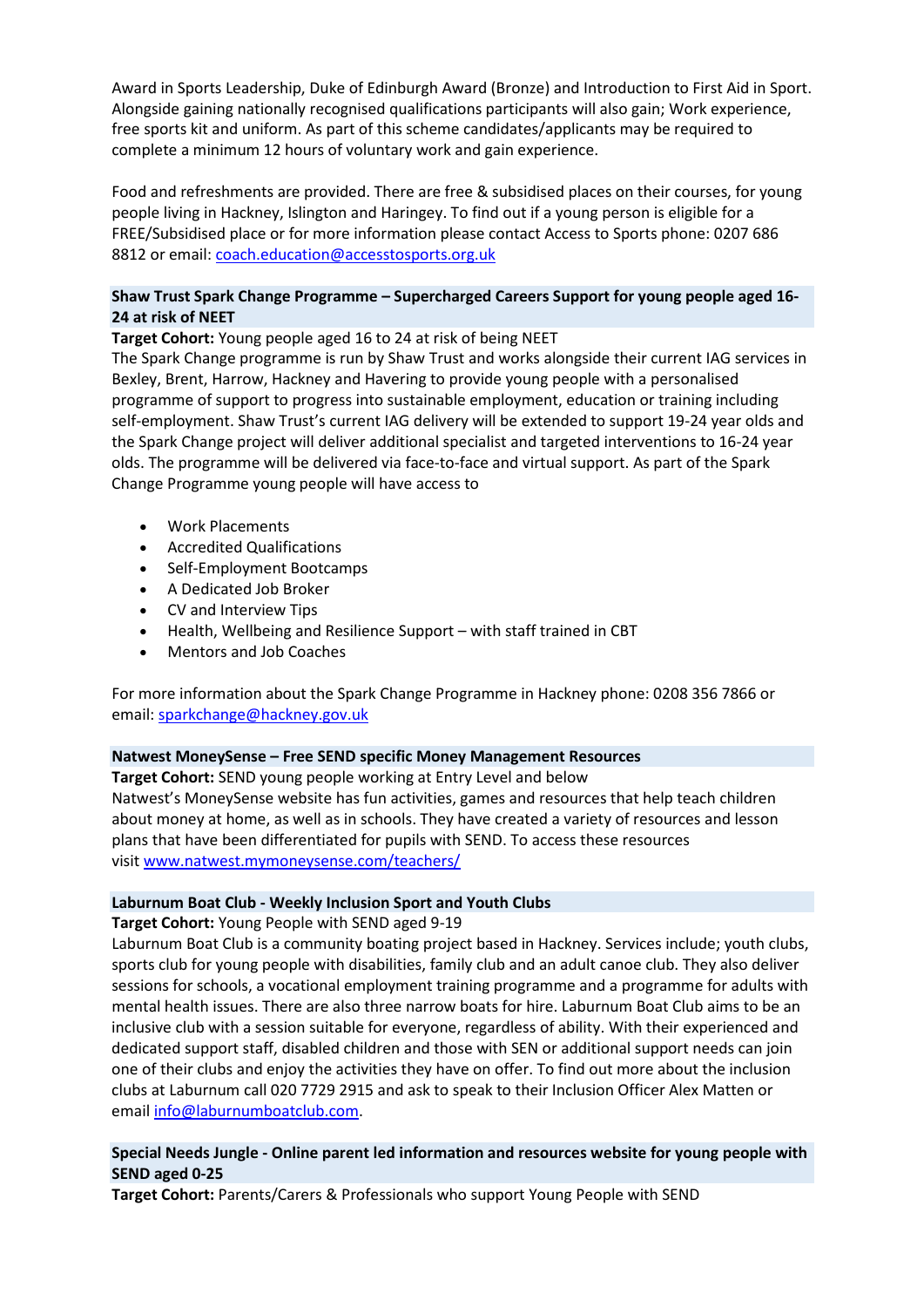Award in Sports Leadership, Duke of Edinburgh Award (Bronze) and Introduction to First Aid in Sport. Alongside gaining nationally recognised qualifications participants will also gain; Work experience, free sports kit and uniform. As part of this scheme candidates/applicants may be required to complete a minimum 12 hours of voluntary work and gain experience.

Food and refreshments are provided. There are free & subsidised places on their courses, for young people living in Hackney, Islington and Haringey. To find out if a young person is eligible for a FREE/Subsidised place or for more information please contact Access to Sports phone: 0207 686 8812 or email: [coach.education@accesstosports.org.uk](mailto:coach.education@accesstosports.org.uk)

# **Shaw Trust Spark Change Programme – Supercharged Careers Support for young people aged 16- 24 at risk of NEET**

**Target Cohort:** Young people aged 16 to 24 at risk of being NEET

The Spark Change programme is run by Shaw Trust and works alongside their current IAG services in Bexley, Brent, Harrow, Hackney and Havering to provide young people with a personalised programme of support to progress into sustainable employment, education or training including self-employment. Shaw Trust's current IAG delivery will be extended to support 19-24 year olds and the Spark Change project will deliver additional specialist and targeted interventions to 16-24 year olds. The programme will be delivered via face-to-face and virtual support. As part of the Spark Change Programme young people will have access to

- Work Placements
- Accredited Qualifications
- Self-Employment Bootcamps
- A Dedicated Job Broker
- CV and Interview Tips
- Health, Wellbeing and Resilience Support with staff trained in CBT
- Mentors and Job Coaches

For more information about the Spark Change Programme in Hackney phone: 0208 356 7866 or email: [sparkchange@hackney.gov.uk](mailto:sparkchange@hackney.gov.uk)

#### **Natwest MoneySense – Free SEND specific Money Management Resources**

**Target Cohort:** SEND young people working at Entry Level and below Natwest's MoneySense website has fun activities, games and resources that help teach children about money at home, as well as in schools. They have created a variety of resources and lesson plans that have been differentiated for pupils with SEND. To access these resources visit [www.natwest.mymoneysense.com/teachers/](https://eur02.safelinks.protection.outlook.com/?url=http%3A%2F%2Fwww.natwest.mymoneysense.com%2Fteachers%2F&data=05%7C01%7CJul.Ale%40sns.hackney.sch.uk%7C873caf4039234752353208da2833ca13%7C54155676e51044efab17580732d134fe%7C0%7C0%7C637866500169976237%7CUnknown%7CTWFpbGZsb3d8eyJWIjoiMC4wLjAwMDAiLCJQIjoiV2luMzIiLCJBTiI6Ik1haWwiLCJXVCI6Mn0%3D%7C3000%7C%7C%7C&sdata=ILWPoHIredYTWps79zF%2FimZq%2FuUolC8Z%2BiQ%2BlBs0GSo%3D&reserved=0)

# **Laburnum Boat Club - Weekly Inclusion Sport and Youth Clubs**

**Target Cohort:** Young People with SEND aged 9-19

Laburnum Boat Club is a community boating project based in Hackney. Services include; youth clubs, sports club for young people with disabilities, family club and an adult canoe club. They also deliver sessions for schools, a vocational employment training programme and a programme for adults with mental health issues. There are also three narrow boats for hire. Laburnum Boat Club aims to be an inclusive club with a session suitable for everyone, regardless of ability. With their experienced and dedicated support staff, disabled children and those with SEN or additional support needs can join one of their clubs and enjoy the activities they have on offer. To find out more about the inclusion clubs at Laburnum call 020 7729 2915 and ask to speak to their Inclusion Officer Alex Matten or email [info@laburnumboatclub.com.](mailto:info@laburnumboatclub.com)

# **Special Needs Jungle - Online parent led information and resources website for young people with SEND aged 0-25**

**Target Cohort:** Parents/Carers & Professionals who support Young People with SEND